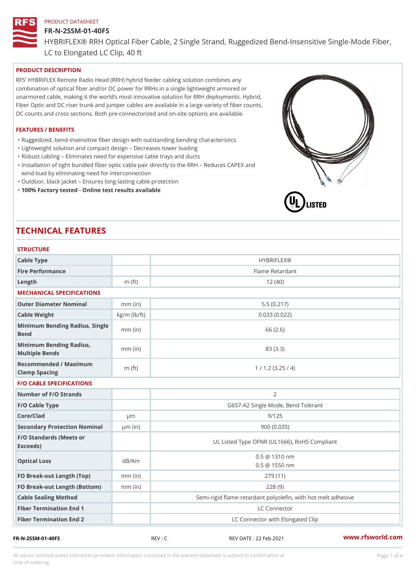#### FR-N-2SSM-01-40FS

HYBRIFLEX® RRH Optical Fiber Cable, 2 Single Strand, Ruggedized Be

LC to Elongated LC Clip, 40 ft

# PRODUCT DESCRIPTION

RFS HYBRIFLEX Remote Radio Head (RRH) hybrid feeder cabling solution combines any combination of optical fiber and/or DC power for RRHs in a single lightweight armored or unarmored cable, making it the world s most innovative solution for RRH deployments. Hybrid, Fiber Optic and DC riser trunk and jumper cables are available in a large variety of fiber counts, DC counts and cross sections. Both pre-connectorized and on-site options are available.

#### FEATURES / BENEFITS

"Ruggedized, bend-insensitive fiber design with outstanding bending characteristics

- "Lightweight solution and compact design Decreases tower loading
- "Robust cabling Eliminates need for expensive cable trays and ducts
- "Installation of tight bundled fiber optic cable pair directly to the RRH Aeduces CAPEX and wind load by eliminating need for interconnection
- "Outdoor, black jacket Ensures long-lasting cable protection
- "100% Factory tested Online test results available

# TECHNICAL FEATURES

# STRUCTURE

| Cable Type                                        |                    | <b>HYBRIFLEX®</b>                                                       |
|---------------------------------------------------|--------------------|-------------------------------------------------------------------------|
| Fire Performance                                  |                    | Flame Retardant                                                         |
| Length                                            | $m$ (ft)           | 12(40)                                                                  |
| MECHANICAL SPECIFICATIONS                         |                    |                                                                         |
| Outer Diameter Nominal                            | $mm$ (in)          | 5.5(0.217)                                                              |
| Cable Weight                                      | $kg/m$ ( $lb/ft$ ) | 0.033(0.022)                                                            |
| Minimum Bending Radius, Single<br>mm (in<br>Bend  |                    | 66 (2.6)                                                                |
| Minimum Bending Radius, mm (in)<br>Multiple Bends |                    | 83 (3.3)                                                                |
| Recommended / Maximum<br>Clamp Spacing            | $m$ (ft)           | 1 / 1.2 (3.25 / 4)                                                      |
| <b>F/O CABLE SPECIFICATIONS</b>                   |                    |                                                                         |
| Number of F/O Strands                             |                    | 2                                                                       |
| F/O Cable Type                                    |                    | G657-A2 Single Mode, Bend Tolerant                                      |
| Core/Clad                                         | $\mu$ m            | 9/125                                                                   |
| Secondary Protection Nomimal(in)                  |                    | 900(0.035)                                                              |
| F/O Standards (Meets or<br>Exceeds)               |                    | UL Listed Type OFNR (UL1666), RoHS Compliant                            |
| Optical Loss                                      | dB/Km              | $0.5 \ @ \ 1310 \ nm$<br>$0.5 \t@ 1550 nm$                              |
| FO Break-out Length (Top)mm (in)                  |                    | 279 (11)                                                                |
| FO Break-out Length (Bottomm) (in)                |                    | 228(9)                                                                  |
|                                                   |                    |                                                                         |
| Cable Sealing Method                              |                    |                                                                         |
| Fiber Termination End                             |                    | Semi-rigid flame-retardant polyolefin, with hot melt ad<br>LC Connector |

All values nominal unless tolerances provided; information contained in the present datasheet is subject to Pcapgeligimation time of ordering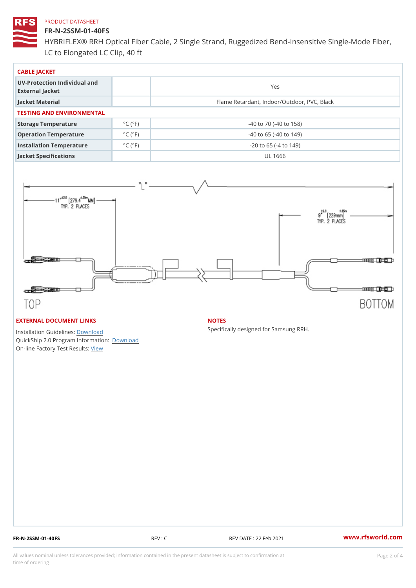# FR-N-2SSM-01-40FS

HYBRIFLEX® RRH Optical Fiber Cable, 2 Single Strand, Ruggedized Be LC to Elongated LC Clip, 40 ft

| CABLE JACKET                                    |                             |                                             |  |  |  |
|-------------------------------------------------|-----------------------------|---------------------------------------------|--|--|--|
| UV-Protection Individual and<br>External Jacket |                             | Yes                                         |  |  |  |
| Jacket Material                                 |                             | Flame Retardant, Indoor/Outdoor, PVC, Black |  |  |  |
| TESTING AND ENVIRONMENTAL                       |                             |                                             |  |  |  |
| Storage Temperature                             | $^{\circ}$ C ( $^{\circ}$ F | $-40$ to $70$ ( $-40$ to $158$ )            |  |  |  |
| Operation Temperature                           | $^{\circ}$ C ( $^{\circ}$ F | $-40$ to 65 ( $-40$ to 149)                 |  |  |  |
| Installation Temperature                        | $^{\circ}$ C ( $^{\circ}$ F | $-20$ to 65 ( $-4$ to 149)                  |  |  |  |
| Jacket Specifications                           |                             | UL 1666                                     |  |  |  |

### EXTERNAL DOCUMENT LINKS

Installation Guidelwinessad QuickShip 2.0 Program IDfoormlation: On-line Factory Te[s](https://www.rfsworld.com/pictures/userfiles/programs/AAST Latest Version.zip)teResults:

#### NOTES

Specifically designed for Samsung RRH.

FR-N-2SSM-01-40FS REV : C REV DATE : 22 Feb 2021 [www.](https://www.rfsworld.com)rfsworld.com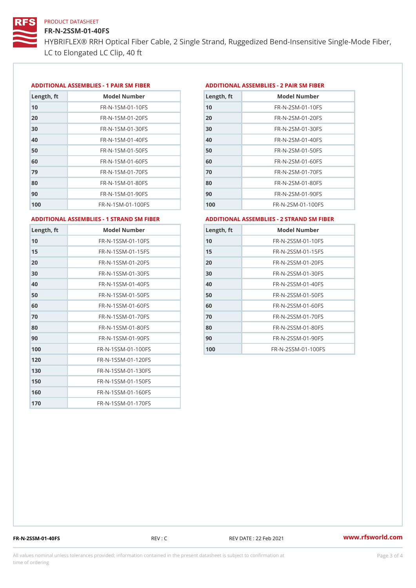# FR-N-2SSM-01-40FS

HYBRIFLEX® RRH Optical Fiber Cable, 2 Single Strand, Ruggedized Be LC to Elongated LC Clip, 40 ft

#### ADDITIONAL ASSEMBLIES - 1 PAIR SM FIBERED DITIONAL ASSEMBLIES - 2 PAIR SM FIBER

| Length, ft | Model Number                   |
|------------|--------------------------------|
| 10         | $FR - N - 1$ S M - 01 - 10 F S |
| 20         | FR-N-1SM-01-20FS               |
| 30         | FR-N-1SM-01-30FS               |
| 40         | $FR - N - 1$ S M - 01 - 40 F S |
| 50         | $FR - N - 1$ S M - 01 - 50 F S |
| 60         | $FR - N - 1$ SM - 01 - 60 F S  |
| 79         | FR-N-1SM-01-70FS               |
| 80         | $FR - N - 1$ SM - 01 - 80 F S  |
| 90         | $FR - N - 1$ S M - 01 - 90 F S |
| 100        | FR-N-1SM-01-100FS              |

| Length, ft | Model Number                   |
|------------|--------------------------------|
| 10         | FR-N-2SM-01-10FS               |
| 20         | FR-N-2SM-01-20FS               |
| 30         | FR-N-2SM-01-30FS               |
| 40         | FR-N-2SM-01-40FS               |
| 50         | $FR - N - 2 S M - 01 - 50 F S$ |
| 60         | $FR - N - 2 S M - 01 - 60 F S$ |
| 70         | FR-N-2SM-01-70FS               |
| 80         | $FR - N - 2 S M - 01 - 80 F S$ |
| 90         | FR-N-2SM-01-90FS               |
| 100        | $FR - N - 2 SM - 01 - 100 FS$  |
|            |                                |

#### ADDITIONAL ASSEMBLIES - 1 STRAND SM FABSDRTIONAL ASSEMBLIES - 2 STRAND SM FIBER

| Length, ft | Model Number       |
|------------|--------------------|
| 10         | FR-N-1SSM-01-10FS  |
| 15         | FR-N-1SSM-01-15FS  |
| 20         | FR-N-1SSM-01-20FS  |
| 30         | FR-N-1SSM-01-30FS  |
| 40         | FR-N-1SSM-01-40FS  |
| 50         | FR-N-1SSM-01-50FS  |
| 60         | FR-N-1SSM-01-60FS  |
| 70         | FR-N-1SSM-01-70FS  |
| 80         | FR-N-1SSM-01-80FS  |
| 90         | FR-N-1SSM-01-90FS  |
| 100        | FR-N-1SSM-01-100FS |
| 120        | FR-N-1SSM-01-120FS |
| 130        | FR-N-1SSM-01-130FS |
| 150        | FR-N-1SSM-01-150FS |
| 160        | FR-N-1SSM-01-160FS |
| 170        | FR-N-1SSM-01-170FS |

| Length, ft | Model Number       |
|------------|--------------------|
| 10         | FR-N-2SSM-01-10FS  |
| 15         | FR-N-2SSM-01-15FS  |
| 20         | FR-N-2SSM-01-20FS  |
| 30         | FR-N-2SSM-01-30FS  |
| 40         | FR-N-2SSM-01-40FS  |
| 50         | FR-N-2SSM-01-50FS  |
| 60         | FR-N-2SSM-01-60FS  |
| 70         | FR-N-2SSM-01-70FS  |
| 80         | FR-N-2SSM-01-80FS  |
| 90         | FR-N-2SSM-01-90FS  |
| 100        | FR-N-2SSM-01-100FS |

FR-N-2SSM-01-40FS REV : C REV DATE : 22 Feb 2021 [www.](https://www.rfsworld.com)rfsworld.com

All values nominal unless tolerances provided; information contained in the present datasheet is subject to Pcapgeling that i time of ordering